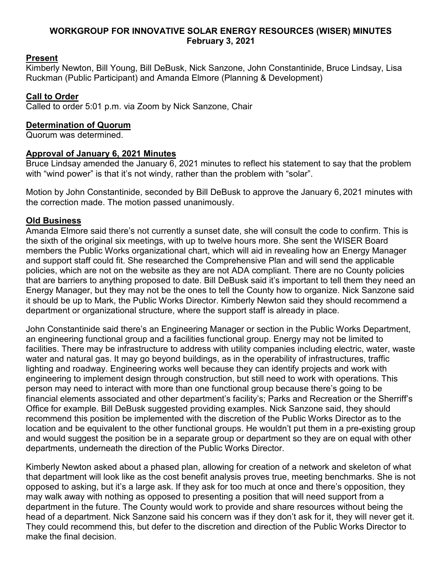### **WORKGROUP FOR INNOVATIVE SOLAR ENERGY RESOURCES (WISER) MINUTES February 3, 2021**

## **Present**

Kimberly Newton, Bill Young, Bill DeBusk, Nick Sanzone, John Constantinide, Bruce Lindsay, Lisa Ruckman (Public Participant) and Amanda Elmore (Planning & Development)

# **Call to Order**

Called to order 5:01 p.m. via Zoom by Nick Sanzone, Chair

### **Determination of Quorum**

Quorum was determined.

## **Approval of January 6, 2021 Minutes**

Bruce Lindsay amended the January 6, 2021 minutes to reflect his statement to say that the problem with "wind power" is that it's not windy, rather than the problem with "solar".

Motion by John Constantinide, seconded by Bill DeBusk to approve the January 6, 2021 minutes with the correction made. The motion passed unanimously.

## **Old Business**

Amanda Elmore said there's not currently a sunset date, she will consult the code to confirm. This is the sixth of the original six meetings, with up to twelve hours more. She sent the WISER Board members the Public Works organizational chart, which will aid in revealing how an Energy Manager and support staff could fit. She researched the Comprehensive Plan and will send the applicable policies, which are not on the website as they are not ADA compliant. There are no County policies that are barriers to anything proposed to date. Bill DeBusk said it's important to tell them they need an Energy Manager, but they may not be the ones to tell the County how to organize. Nick Sanzone said it should be up to Mark, the Public Works Director. Kimberly Newton said they should recommend a department or organizational structure, where the support staff is already in place.

John Constantinide said there's an Engineering Manager or section in the Public Works Department, an engineering functional group and a facilities functional group. Energy may not be limited to facilities. There may be infrastructure to address with utility companies including electric, water, waste water and natural gas. It may go beyond buildings, as in the operability of infrastructures, traffic lighting and roadway. Engineering works well because they can identify projects and work with engineering to implement design through construction, but still need to work with operations. This person may need to interact with more than one functional group because there's going to be financial elements associated and other department's facility's; Parks and Recreation or the Sherriff's Office for example. Bill DeBusk suggested providing examples. Nick Sanzone said, they should recommend this position be implemented with the discretion of the Public Works Director as to the location and be equivalent to the other functional groups. He wouldn't put them in a pre-existing group and would suggest the position be in a separate group or department so they are on equal with other departments, underneath the direction of the Public Works Director.

Kimberly Newton asked about a phased plan, allowing for creation of a network and skeleton of what that department will look like as the cost benefit analysis proves true, meeting benchmarks. She is not opposed to asking, but it's a large ask. If they ask for too much at once and there's opposition, they may walk away with nothing as opposed to presenting a position that will need support from a department in the future. The County would work to provide and share resources without being the head of a department. Nick Sanzone said his concern was if they don't ask for it, they will never get it. They could recommend this, but defer to the discretion and direction of the Public Works Director to make the final decision.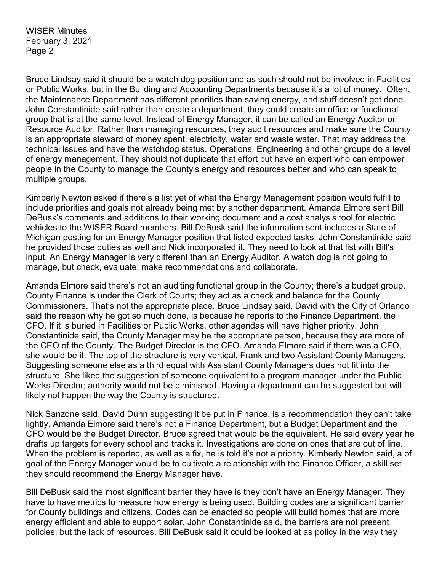Bruce Lindsay said it should be a watch dog position and as such should not be involved in Facilities or Public Works, but in the Building and Accounting Departments because it's a lot of money. Often, the Maintenance Department has different priorities than saving energy, and stuff doesn't get done. John Constantinide said rather than create a department, they could create an office or functional group that is at the same level. Instead of Energy Manager, it can be called an Energy Auditor or Resource Auditor. Rather than managing resources, they audit resources and make sure the County is an appropriate steward of money spent, electricity, water and waste water. That may address the technical issues and have the watchdog status. Operations, Engineering and other groups do a level of energy management. They should not duplicate that effort but have an expert who can empower people in the County to manage the County's energy and resources better and who can speak to multiple groups.

Kimberly Newton asked if there's a list yet of what the Energy Management position would fulfill to include priorities and goals not already being met by another department. Amanda Elmore sent Bill DeBusk's comments and additions to their working document and a cost analysis tool for electric vehicles to the WISER Board members. Bill DeBusk said the information sent includes a State of Michigan posting for an Energy Manager position that listed expected tasks. John Constantinide said he provided those duties as well and Nick incorporated it. They need to look at that list with Bill's input. An Energy Manager is very different than an Energy Auditor. A watch dog is not going to manage, but check, evaluate, make recommendations and collaborate.

Amanda Elmore said there's not an auditing functional group in the County; there's a budget group. County Finance is under the Clerk of Courts; they act as a check and balance for the County Commissioners. That's not the appropriate place. Bruce Lindsay said, David with the City of Orlando said the reason why he got so much done, is because he reports to the Finance Department, the CFO. If it is buried in Facilities or Public Works, other agendas will have higher priority. John Constantinide said, the County Manager may be the appropriate person, because they are more of the CEO of the County. The Budget Director is the CFO. Amanda Elmore said if there was a CFO, she would be it. The top of the structure is very vertical, Frank and two Assistant County Managers. Suggesting someone else as a third equal with Assistant County Managers does not fit into the structure. She liked the suggestion of someone equivalent to a program manager under the Public Works Director; authority would not be diminished. Having a department can be suggested but will likely not happen the way the County is structured.

Nick Sanzone said, David Dunn suggesting it be put in Finance, is a recommendation they can't take lightly. Amanda Elmore said there's not a Finance Department, but a Budget Department and the CFO would be the Budget Director. Bruce agreed that would be the equivalent. He said every year he drafts up targets for every school and tracks it. Investigations are done on ones that are out of line. When the problem is reported, as well as a fix, he is told it's not a priority. Kimberly Newton said, a of goal of the Energy Manager would be to cultivate a relationship with the Finance Officer, a skill set they should recommend the Energy Manager have.

Bill DeBusk said the most significant barrier they have is they don't have an Energy Manager. They have to have metrics to measure how energy is being used. Building codes are a significant barrier for County buildings and citizens. Codes can be enacted so people will build homes that are more energy efficient and able to support solar. John Constantinide said, the barriers are not present policies, but the lack of resources. Bill DeBusk said it could be looked at as policy in the way they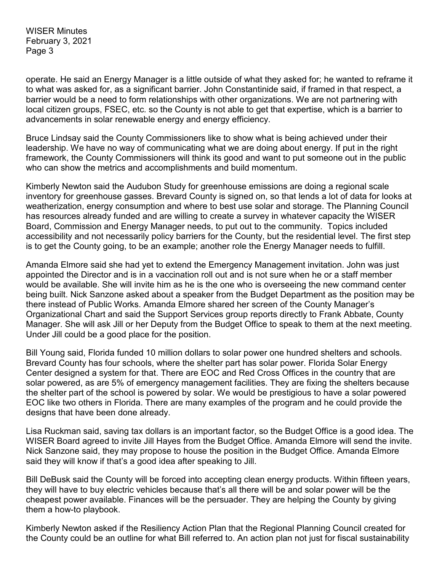operate. He said an Energy Manager is a little outside of what they asked for; he wanted to reframe it to what was asked for, as a significant barrier. John Constantinide said, if framed in that respect, a barrier would be a need to form relationships with other organizations. We are not partnering with local citizen groups, FSEC, etc. so the County is not able to get that expertise, which is a barrier to advancements in solar renewable energy and energy efficiency.

Bruce Lindsay said the County Commissioners like to show what is being achieved under their leadership. We have no way of communicating what we are doing about energy. If put in the right framework, the County Commissioners will think its good and want to put someone out in the public who can show the metrics and accomplishments and build momentum.

Kimberly Newton said the Audubon Study for greenhouse emissions are doing a regional scale inventory for greenhouse gasses. Brevard County is signed on, so that lends a lot of data for looks at weatherization, energy consumption and where to best use solar and storage. The Planning Council has resources already funded and are willing to create a survey in whatever capacity the WISER Board, Commission and Energy Manager needs, to put out to the community. Topics included accessibility and not necessarily policy barriers for the County, but the residential level. The first step is to get the County going, to be an example; another role the Energy Manager needs to fulfill.

Amanda Elmore said she had yet to extend the Emergency Management invitation. John was just appointed the Director and is in a vaccination roll out and is not sure when he or a staff member would be available. She will invite him as he is the one who is overseeing the new command center being built. Nick Sanzone asked about a speaker from the Budget Department as the position may be there instead of Public Works. Amanda Elmore shared her screen of the County Manager's Organizational Chart and said the Support Services group reports directly to Frank Abbate, County Manager. She will ask Jill or her Deputy from the Budget Office to speak to them at the next meeting. Under Jill could be a good place for the position.

Bill Young said, Florida funded 10 million dollars to solar power one hundred shelters and schools. Brevard County has four schools, where the shelter part has solar power. Florida Solar Energy Center designed a system for that. There are EOC and Red Cross Offices in the country that are solar powered, as are 5% of emergency management facilities. They are fixing the shelters because the shelter part of the school is powered by solar. We would be prestigious to have a solar powered EOC like two others in Florida. There are many examples of the program and he could provide the designs that have been done already.

Lisa Ruckman said, saving tax dollars is an important factor, so the Budget Office is a good idea. The WISER Board agreed to invite Jill Hayes from the Budget Office. Amanda Elmore will send the invite. Nick Sanzone said, they may propose to house the position in the Budget Office. Amanda Elmore said they will know if that's a good idea after speaking to Jill.

Bill DeBusk said the County will be forced into accepting clean energy products. Within fifteen years, they will have to buy electric vehicles because that's all there will be and solar power will be the cheapest power available. Finances will be the persuader. They are helping the County by giving them a how-to playbook.

Kimberly Newton asked if the Resiliency Action Plan that the Regional Planning Council created for the County could be an outline for what Bill referred to. An action plan not just for fiscal sustainability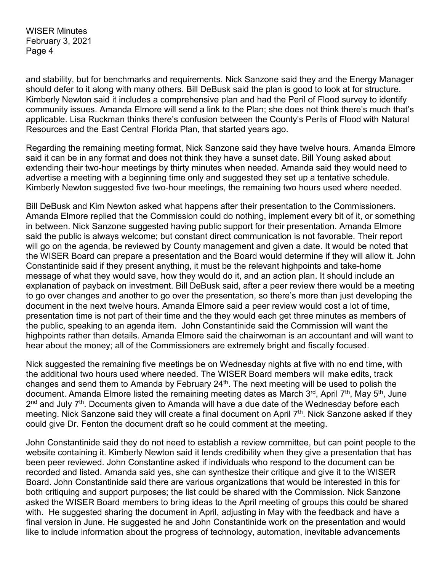and stability, but for benchmarks and requirements. Nick Sanzone said they and the Energy Manager should defer to it along with many others. Bill DeBusk said the plan is good to look at for structure. Kimberly Newton said it includes a comprehensive plan and had the Peril of Flood survey to identify community issues. Amanda Elmore will send a link to the Plan; she does not think there's much that's applicable. Lisa Ruckman thinks there's confusion between the County's Perils of Flood with Natural Resources and the East Central Florida Plan, that started years ago.

Regarding the remaining meeting format, Nick Sanzone said they have twelve hours. Amanda Elmore said it can be in any format and does not think they have a sunset date. Bill Young asked about extending their two-hour meetings by thirty minutes when needed. Amanda said they would need to advertise a meeting with a beginning time only and suggested they set up a tentative schedule. Kimberly Newton suggested five two-hour meetings, the remaining two hours used where needed.

Bill DeBusk and Kim Newton asked what happens after their presentation to the Commissioners. Amanda Elmore replied that the Commission could do nothing, implement every bit of it, or something in between. Nick Sanzone suggested having public support for their presentation. Amanda Elmore said the public is always welcome; but constant direct communication is not favorable. Their report will go on the agenda, be reviewed by County management and given a date. It would be noted that the WISER Board can prepare a presentation and the Board would determine if they will allow it. John Constantinide said if they present anything, it must be the relevant highpoints and take-home message of what they would save, how they would do it, and an action plan. It should include an explanation of payback on investment. Bill DeBusk said, after a peer review there would be a meeting to go over changes and another to go over the presentation, so there's more than just developing the document in the next twelve hours. Amanda Elmore said a peer review would cost a lot of time, presentation time is not part of their time and the they would each get three minutes as members of the public, speaking to an agenda item. John Constantinide said the Commission will want the highpoints rather than details. Amanda Elmore said the chairwoman is an accountant and will want to hear about the money; all of the Commissioners are extremely bright and fiscally focused.

Nick suggested the remaining five meetings be on Wednesday nights at five with no end time, with the additional two hours used where needed. The WISER Board members will make edits, track changes and send them to Amanda by February  $24<sup>th</sup>$ . The next meeting will be used to polish the document. Amanda Elmore listed the remaining meeting dates as March  $3<sup>rd</sup>$ , April  $7<sup>th</sup>$ , May  $5<sup>th</sup>$ , June  $2<sup>nd</sup>$  and July  $7<sup>th</sup>$ . Documents given to Amanda will have a due date of the Wednesday before each meeting. Nick Sanzone said they will create a final document on April 7<sup>th</sup>. Nick Sanzone asked if they could give Dr. Fenton the document draft so he could comment at the meeting.

John Constantinide said they do not need to establish a review committee, but can point people to the website containing it. Kimberly Newton said it lends credibility when they give a presentation that has been peer reviewed. John Constantine asked if individuals who respond to the document can be recorded and listed. Amanda said yes, she can synthesize their critique and give it to the WISER Board. John Constantinide said there are various organizations that would be interested in this for both critiquing and support purposes; the list could be shared with the Commission. Nick Sanzone asked the WISER Board members to bring ideas to the April meeting of groups this could be shared with. He suggested sharing the document in April, adjusting in May with the feedback and have a final version in June. He suggested he and John Constantinide work on the presentation and would like to include information about the progress of technology, automation, inevitable advancements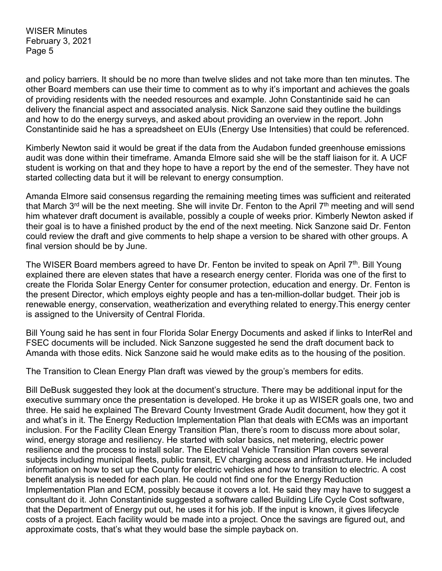and policy barriers. It should be no more than twelve slides and not take more than ten minutes. The other Board members can use their time to comment as to why it's important and achieves the goals of providing residents with the needed resources and example. John Constantinide said he can delivery the financial aspect and associated analysis. Nick Sanzone said they outline the buildings and how to do the energy surveys, and asked about providing an overview in the report. John Constantinide said he has a spreadsheet on EUIs (Energy Use Intensities) that could be referenced.

Kimberly Newton said it would be great if the data from the Audabon funded greenhouse emissions audit was done within their timeframe. Amanda Elmore said she will be the staff liaison for it. A UCF student is working on that and they hope to have a report by the end of the semester. They have not started collecting data but it will be relevant to energy consumption.

Amanda Elmore said consensus regarding the remaining meeting times was sufficient and reiterated that March 3<sup>rd</sup> will be the next meeting. She will invite Dr. Fenton to the April  $7<sup>th</sup>$  meeting and will send him whatever draft document is available, possibly a couple of weeks prior. Kimberly Newton asked if their goal is to have a finished product by the end of the next meeting. Nick Sanzone said Dr. Fenton could review the draft and give comments to help shape a version to be shared with other groups. A final version should be by June.

The WISER Board members agreed to have Dr. Fenton be invited to speak on April  $7<sup>th</sup>$ . Bill Young explained there are eleven states that have a research energy center. Florida was one of the first to create the Florida Solar Energy Center for consumer protection, education and energy. Dr. Fenton is the present Director, which employs eighty people and has a ten-million-dollar budget. Their job is renewable energy, conservation, weatherization and everything related to energy.This energy center is assigned to the University of Central Florida.

Bill Young said he has sent in four Florida Solar Energy Documents and asked if links to InterRel and FSEC documents will be included. Nick Sanzone suggested he send the draft document back to Amanda with those edits. Nick Sanzone said he would make edits as to the housing of the position.

The Transition to Clean Energy Plan draft was viewed by the group's members for edits.

Bill DeBusk suggested they look at the document's structure. There may be additional input for the executive summary once the presentation is developed. He broke it up as WISER goals one, two and three. He said he explained The Brevard County Investment Grade Audit document, how they got it and what's in it. The Energy Reduction Implementation Plan that deals with ECMs was an important inclusion. For the Facility Clean Energy Transition Plan, there's room to discuss more about solar, wind, energy storage and resiliency. He started with solar basics, net metering, electric power resilience and the process to install solar. The Electrical Vehicle Transition Plan covers several subjects including municipal fleets, public transit, EV charging access and infrastructure. He included information on how to set up the County for electric vehicles and how to transition to electric. A cost benefit analysis is needed for each plan. He could not find one for the Energy Reduction Implementation Plan and ECM, possibly because it covers a lot. He said they may have to suggest a consultant do it. John Constantinide suggested a software called Building Life Cycle Cost software, that the Department of Energy put out, he uses it for his job. If the input is known, it gives lifecycle costs of a project. Each facility would be made into a project. Once the savings are figured out, and approximate costs, that's what they would base the simple payback on.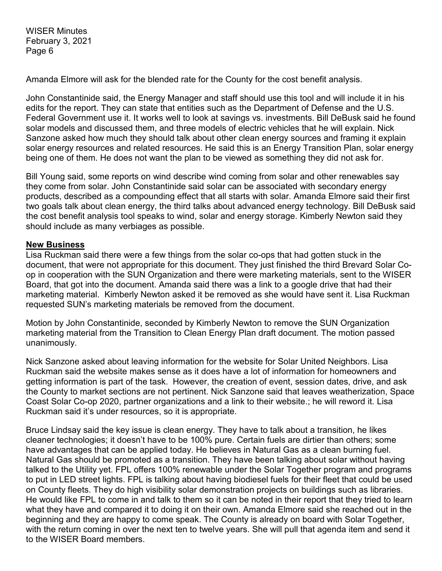Amanda Elmore will ask for the blended rate for the County for the cost benefit analysis.

John Constantinide said, the Energy Manager and staff should use this tool and will include it in his edits for the report. They can state that entities such as the Department of Defense and the U.S. Federal Government use it. It works well to look at savings vs. investments. Bill DeBusk said he found solar models and discussed them, and three models of electric vehicles that he will explain. Nick Sanzone asked how much they should talk about other clean energy sources and framing it explain solar energy resources and related resources. He said this is an Energy Transition Plan, solar energy being one of them. He does not want the plan to be viewed as something they did not ask for.

Bill Young said, some reports on wind describe wind coming from solar and other renewables say they come from solar. John Constantinide said solar can be associated with secondary energy products, described as a compounding effect that all starts with solar. Amanda Elmore said their first two goals talk about clean energy, the third talks about advanced energy technology. Bill DeBusk said the cost benefit analysis tool speaks to wind, solar and energy storage. Kimberly Newton said they should include as many verbiages as possible.

### **New Business**

Lisa Ruckman said there were a few things from the solar co-ops that had gotten stuck in the document, that were not appropriate for this document. They just finished the third Brevard Solar Coop in cooperation with the SUN Organization and there were marketing materials, sent to the WISER Board, that got into the document. Amanda said there was a link to a google drive that had their marketing material. Kimberly Newton asked it be removed as she would have sent it. Lisa Ruckman requested SUN's marketing materials be removed from the document.

Motion by John Constantinide, seconded by Kimberly Newton to remove the SUN Organization marketing material from the Transition to Clean Energy Plan draft document. The motion passed unanimously.

Nick Sanzone asked about leaving information for the website for Solar United Neighbors. Lisa Ruckman said the website makes sense as it does have a lot of information for homeowners and getting information is part of the task. However, the creation of event, session dates, drive, and ask the County to market sections are not pertinent. Nick Sanzone said that leaves weatherization, Space Coast Solar Co-op 2020, partner organizations and a link to their website.; he will reword it. Lisa Ruckman said it's under resources, so it is appropriate.

Bruce Lindsay said the key issue is clean energy. They have to talk about a transition, he likes cleaner technologies; it doesn't have to be 100% pure. Certain fuels are dirtier than others; some have advantages that can be applied today. He believes in Natural Gas as a clean burning fuel. Natural Gas should be promoted as a transition. They have been talking about solar without having talked to the Utility yet. FPL offers 100% renewable under the Solar Together program and programs to put in LED street lights. FPL is talking about having biodiesel fuels for their fleet that could be used on County fleets. They do high visibility solar demonstration projects on buildings such as libraries. He would like FPL to come in and talk to them so it can be noted in their report that they tried to learn what they have and compared it to doing it on their own. Amanda Elmore said she reached out in the beginning and they are happy to come speak. The County is already on board with Solar Together, with the return coming in over the next ten to twelve years. She will pull that agenda item and send it to the WISER Board members.